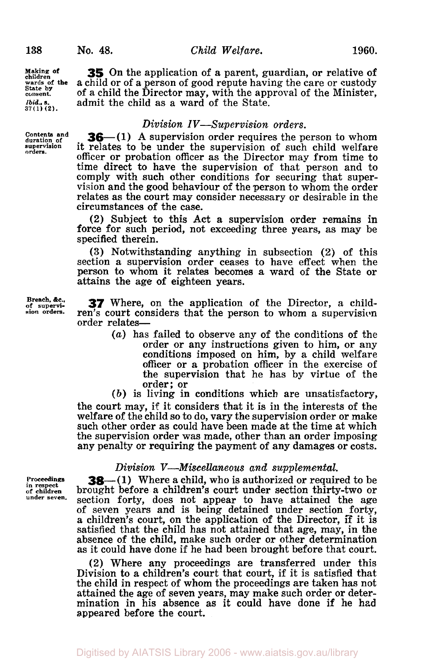**Making of children wards of** *the*  **State by consent.**  *Ibid.,* **s. 37 (1) (2).** 

**Contents and duration of supervision orders.** 

**Breach.** *&c.,*  **of supervi- sion orders.** 

**35** On the application of a parent, guardian, or relative **of**  a child or of a person of good repute having the care or custody of a child the Director may, with the approval of the Minister, admit the child as a ward of the State.

## *Division IV-Supervision orders.*

**36**-(1) A supervision order requires the person to whom it relates to be under the supervision of such child welfare officer or probation officer as the Director may from time to time direct to have the supervision of that person and to comply with such other conditions for securing that supervision and the good behaviour of the person to whom the order relates as the court may consider necessary or desirable in the circumstances of the case.

**(2)** Subject to this Act a supervision order remains in force for such period, not exceeding three years, as may be specified therein.

**(3)** Notwithstanding anything in subsection **(2)** of this section a supervision order ceases to have effect when the person to whom it relates becomes a ward **of** the State **or**  attains the age of eighteen years.

**37** Where, on the application of the Director, a children's court considers that the person to whom a supervision order relates—

*(a)* has failed to observe any of the conditions of the order or any instructions given to him, or any conditions imposed on him, by a child welfare officer or a probation officer in the exercise of the supervision that he has by virtue **of** the order; or

*(b)* is living in conditions which are unsatisfactory, the court may, if it considers that it is in the interests of the welfare **of** the child so to do, vary the supervision order or make such other order as could have been made at the time at which the supervision order was made, other than an order imposing any penalty or requiring the payment of any damages or costs.

## *Division V-Miscellaneous and supplemental.*

**Proceedings in respect of children under seven.** 

**38**—(1) Where a child, who is authorized or required to be brought before a children's court under section thirty-two or section forty, does not appear to have attained the age of seven years and is being detained under section forty, a children's court, on the application of the Director, **If** it is satisfied that the child has not attained that age, may, in the absence of the child, make such order or other determination as it could have done if he had been brought before that court.

**(2)** Where any proceedings are transferred under this Division **to** a children's court that court, if it is satisfied that the child in respect of whom the proceedings are taken has not attained the age of seven years, may make such order or determination in his absence as it could have done if he had appeared before the court.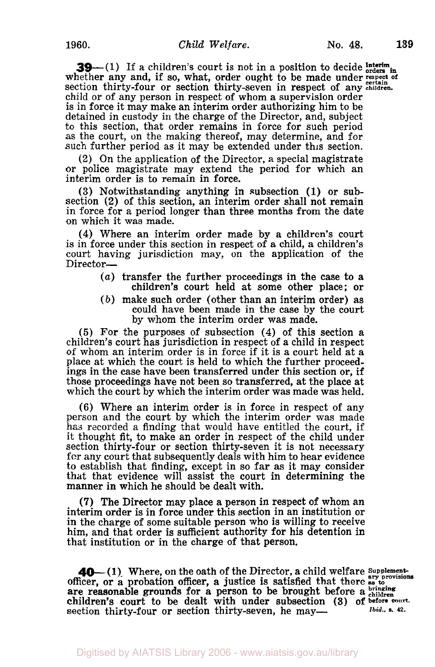**39**—(1) If a children's court is not in a position to decide  $\frac{\text{interim}}{\text{orders in}}$  whether any and, if so, what, order ought to be made under respect of Section thirty-four or section thirty-seven in respect of any **children.**  child or of any person in respect of whom a supervision order is in force it may make an interim order authorizing him to be detained in custody in the charge of the Director, and, subject to this section, that order remains in force for such period as the court, on the making thereof, may determine, and for such further period as it may be extended under this section.

**(2)** On the application of the Director, a special magistrate or police magistrate may extend the period for which an interim order is to remain in force.

**(3)** Notwithstanding anything in subsection **(1)** or subsection **(2)** of this section, an interim order shall not remain in force for a period longer than three months from the date on which it was made.

**(4)** Where an interim order made by a children's court is in force under this section in respect of a child, a children's court having jurisdiction may, on the application of the Director-

- *(a)* transfer the further proceedings in the case to a children's court held at some other place; or
- *(b)* make such order (other than an interim order) as could have been made in the case by the court by whom the interim order was made.

*(5)* For the purposes of subsection **(4)** of this section a children's court has jurisdiction in respect of a child in respect of whom an interim order is in force if it is a court held at a place at which the court is held to which the further proceed- ings in the case have been transferred under this section or, if those proceedings have not been so transferred, at the place at which the court by which the interim order was made was held.

(6) Where an interim order is in force in respect of any person and the court by which the interim order was made has recorded a finding that would have entitled the court, if it thought fit, to make an order in respect of the child under section thirty-four **or** section thirty-seven it is not necessary for any court that subsequently deals with him to hear evidence to establish that finding, except in so far as it may consider that that evidence will assist the court in determining the manner in which he should be dealt with.

**(7)** The Director may place a person in respect of whom an interim order is in force under this section in an institution or in the charge of some suitable person who is willing to receive him, and that order is sufficient authority for his detention in that institution or in the charge of that person.

**40**—(1) Where, on the oath of the Director, a child welfare Supplementofficer, or a probation officer, a justice is satisfied that there as to are reasonable grounds for a person to be brought before a bringing court to be dealt with under subsection **(3)** of **before** court. children's court to be dealt with under subsection (3) of **before court**.<br>section thirty-four or section thirty-seven, he may— *Ibid.*, s. 42.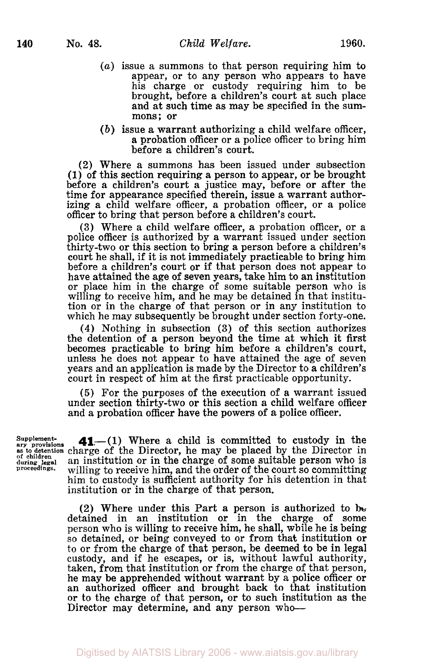- *(a)* issue a summons to that person requiring him to appear, or to any person who appears to have his charge or custody requiring him to be brought, before a children's court at such place and at such time as may be specified in the summons; **or**
- *(b)* issue a warrant authorizing a child welfare officer, a probation officer or a police officer to bring him before a children's court.

(2) Where a summons has been issued under subsection (1) **of** this section requiring a person to appear, **or** be brought before a children's court a justice may, before **or** after the time for appearance specified therein, issue a warrant authorizing a child welfare officer, a probation officer, or a police officer to bring that person before a children's court.

**(3)** Where a child welfare officer, a probation officer, or a police officer is authorized by a warrant issued under section thirty-two **or** this section to bring a person before a children's court he shall, if it is not immediately practicable to bring him before a children's court **or** if that person does not appear to have attained the age of seven years, take him to an institution **or** place him in the charge of some suitable person who is willing to receive him, and he may be detained in that institution or in the charge of that person or in any institution to which he may subsequently be brought under section forty-one.

**(4)** Nothing in subsection **(3)** of this section authorizes the detention of a person beyond the time at which it first becomes practicable to bring him before a children's court, unless he does not appear to have attained the age of seven years and an application is made by the Director to a children's court in respect of him at the first practicable opportunity.

*(5)* For the purposes of the execution of a warrant issued under section thirty-two **or** this section a child welfare officer and a probation officer have the powers of a police officer.

Supplement-<br>ary provisions  $\mathbf{41}$ ,-(1) Where a child is committed to custody in the as to detention charge of the Director, he may be placed by the Director in **during legal** an institution or in the charge of some suitable person who is of enlighten and institution or in the charge of some suitable person who is proceedings. willing to receive him, and the order of the court so committing him to custody is sufficient authority for his detention in that institution or in the charge of that person.

> (2) Where under this Part a person is authorized to **be**  detained in an institution or in the charge of some person who is willing to receive him, he shall, while he is being so detained, or being conveyed to or from that institution **or**  to or from the charge of that person, be deemed to be in legal custody, and if he escapes, or is, without lawful authority, taken, from that institution or from the charge of that person, he may be apprehended without warrant by a police officer **or**  an authorized officer and brought back to that institution or to the charge of that person, or to such institution as the Director may determine, and any person who--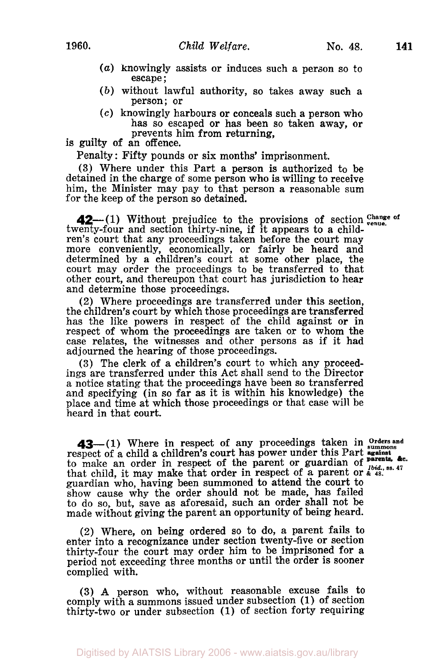- *(a)* knowingly assists or induces such a person so to escape:
- *(b)* without lawful authority, so takes away such a person; or
- *(c)* knowingly harbours or conceals such a person who has so escaped or has been so taken away, or prevents him from returning,

is guilty **of** an offence.

Penalty : Fifty pounds or six months' imprisonment.

**(3)** Where under this Part a person is authorized to be detained in the charge of some person **who** is willing to receive him, the Minister may pay to that person a reasonable sum for the keep of the person so detained.

twenty-four and section thirty-nine, if it appears to a children's court that any proceedings taken before the court may more conveniently, economically, or fairly be heard and determined by a children's court at some other place, the court may order the proceedings to be transferred to that other court, and thereupon that court has jurisdiction to hear and determine those proceedings. **42** (1) Without prejudice to the provisions of section Change of

(2) Where proceedings are transferred under this section, the children's court by which those proceedings are transferred has the like powers in respect of the child against or in respect of whom the proceedings are taken or to whom the case relates, the witnesses and other persons as if it had adjourned the hearing of those proceedings.

**(3)** The clerk of a children's court to which any proceed- ings are transferred under this Act shall send to the Director a notice stating that the proceedings have been so transferred and specifying (in so far as it is within his knowledge) the place and time at which those proceedings or that case will be heard in that court.

43-(1) Where in respect of any proceedings taken in orders and respect of a child a children's court has power under this Part to make an order in respect of the parent or guardian of *parents*, and that child, it may make that order in respect of a parent or  $\alpha$  **48.** guardian who, having been summoned to attend the court to show cause why the order should not be made, has failed to do so, but, save as aforesaid, such an order shall not be made without giving the parent an opportunity of being heard.

(2) Where, on being ordered so to do, a parent fails to enter into a recognizance under section twenty-five **or** section thirty-four the court may order him to be imprisoned for a period not exceeding three months or until the order is sooner complied with.

**(3) A** person who, without reasonable excuse fails to comply with a summons issued under subsection (1) of section thirty-two or under subsection (1) of section forty requiring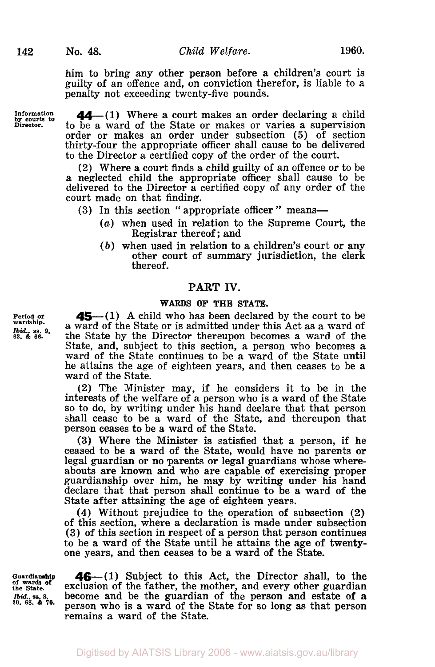him to bring any other person before a children's court is guilty of an offence and, on conviction therefor, is liable to a penalty not exceeding twenty-five pounds.

**Information by courts to Director.** 

**44-(1)** Where **a** court makes an order declaring a child to be a ward of the State or makes or varies a supervision order or makes an order under subsection (5) of section thirty-four the appropriate officer shall cause to be delivered to the Director a certified copy of the order of the court.

**(2)** Where a court finds a child guilty of an offence or to be a neglected child the appropriate officer shall cause to be delivered to the Director a certified copy of any order of the court made on that finding.

- (3) In this section "appropriate officer" means-
	- *(a)* when used in relation to the Supreme Court, the Registrar thereof; and
	- *(b)* when used in relation to a children's court or any other court of summary jurisdiction, the clerk thereof.

## **PART IV.**

#### **WARDS OF THE STATE.**

**45**—(1) A child who has been declared by the court to be a ward of the State or is admitted under this Act as a ward **of**  the State by the Director thereupon becomes a ward of the State, and, subject to this section, a person who becomes a ward **of** the State continues to be a ward of the State until he attains the age of eighteen years, and then ceases to be a ward of the State.

**(2)** The Minister may, if he considers it to be in the interests of the welfare **of** a person who is a ward of the State so to do, by writing under his hand declare that that person shall cease to be a ward of the State, and thereupon that person ceases to be a ward of the State.

**(3)** Where the Minister is satisfied that a person, if he ceased to be a ward of the State, would have no parents or legal guardian or no parents or legal guardians whose where-<br>abouts are known and who are capable of exercising proper guardianship over him, he may by writing under his hand declare that that person shall continue to be a ward of the State after attaining the age of eighteen years.

**(4)** Without prejudice to the operation **of** subsection **(2)**  of this section, where a declaration is made under subsection **(3)** of this section in respect of a person that person continues to be **a** ward **of** the State until he attains the age of twentyone years, and then ceases to be a ward **of** the State.

**Guardianship of wards of the State.**  *Ibid.,* **ss.** *8. to. 68. &* **70.** 

**46** - (1) Subject to this Act, the Director shall, to the exclusion of the father, the mother, and every other guardian become and be the guardian of the person and estate **of a**  person who is a ward of the State for so long as that person remains a ward **of** the State.

**Period of wardship.**  *Ibid..* **ss. 9.**  *63,* & *66.*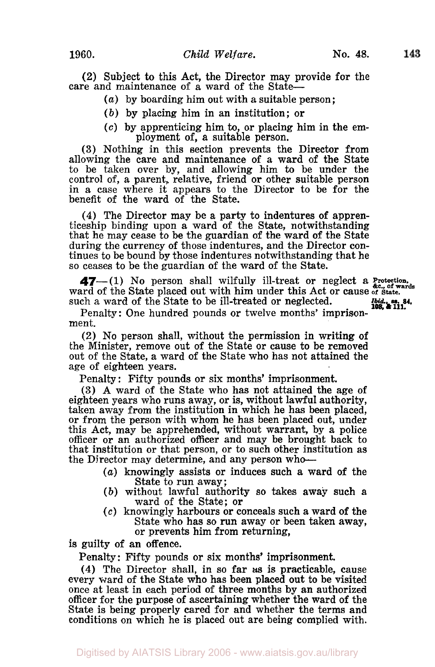143

**(2)** Subject to this Act, the Director may provide for the care and maintenance of a ward of the State-

- *(a)* by boarding him out with a suitable person;
- *(b)* by placing him in an institution; **or**
- *(c)* by apprenticing him **to,** or placing him in the employment **of,** a suitable person.

**(3)** Nothing in this section prevents the Director from allowing the care and maintenance of a ward of the State to be taken over by, and allowing him to be under the control of, a parent, relative, friend or other suitable person in a case where it appears to the Director to be for the benefit of the ward of the State.

**(4)** The Director may be a party to indentures **of** appren- ticeship binding upon a ward **of** the State, notwithstanding that he may cease to be the guardian **of** the ward of the State during the currency of those indentures, and the Director continues to be bound by those indentures notwithstanding that he so ceases to be the guardian of the ward of the State.

47-(1) No person shall wilfully ill-treat or neglect a Protection. ward of the State placed out with him under this Act or cause of State. such a ward of the State to be ill-treated or neglected. *Ibid ss* **84. 108, & 111.** 

Penalty : One hundred pounds **or** twelve months' imprisonment.

(2) No person shall, without the permission in writing of the Minister, remove out of the State or cause to be removed out of the State, a ward **of** the State who has not attained the age of eighteen years.

Penalty : Fifty pounds or six months' imprisonment.

**(3)** A ward of the State who has not attained the age **of**  eighteen years who runs away, **or** is, without lawful authority, taken away from the institution in which he has been placed, or from the person with whom he has been placed out, under this Act, may be apprehended, without warrant, by a police officer or an authorized officer and may be brought back to that institution or that person, **or** to such other institution as the Director may determine, and any person who-

- *(a)* knowingly assists or induces such a ward of the State to run away;
- *(b)* without lawful authority so takes away such a ward of the State; **or**
- *(c)* knowingly harbours or conceals such a ward of the State who has so run away **or** been taken away, **or** prevents him from returning,

is guilty **of** an offence.

Penalty: Fifty pounds or six months' imprisonment.

**(4)** The Director shall, in so far **as** is practicable, cause every ward **of** the State who has been placed out to be visited once at least in each period **of** three months by an authorized officer for the purpose **of** ascertaining whether the ward of the State is being properly cared for and whether the terms and conditions on which he is placed out are being complied with.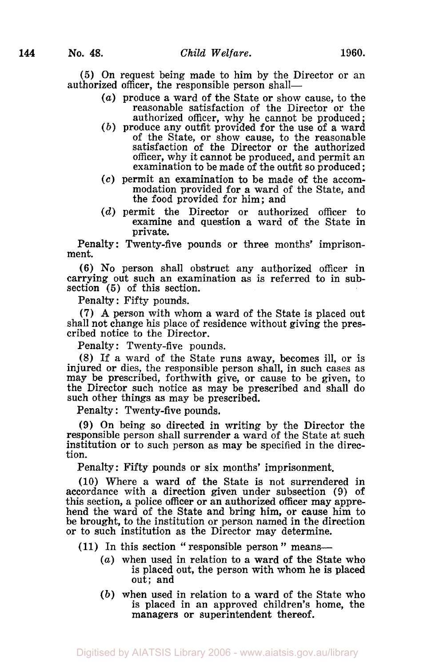**(5)** On request being made to him by the Director or an authorized officer, the responsible person shall-

- *(a)* produce a ward of the State or show cause, to the reasonable satisfaction of the Director or the authorized officer, why he cannot be produced ;
- *(b)* produce any outfit provided for the use of a ward of the State, or show cause, to the reasonable satisfaction of the Director or the authorized officer, why it cannot be produced, and permit an examination to be made of the outfit so produced;
- **(c)** permit an examination to be made of the accommodation provided for a ward of the State, and the food provided for him; and
- *(d)* permit the Director or authorized officer to examine and question a ward of the State in private.

Penalty: Twenty-five pounds or three months' imprisonment.

(6) **No** person shall obstruct any authorized officer in carrying out such an examination as is referred to in subsection *(5)* of this section.

Penalty : Fifty pounds.

**(7) A** person with whom a ward of the State is placed out shall not change his place of residence without giving the prescribed notice to the Director.

Penalty: Twenty-five pounds.

**(8)** If a ward of the State runs away, becomes ill, or is injured or dies, the responsible person shall, in such cases as may be prescribed, forthwith give, or cause to be given, to the Director such notice as may be prescribed and shall do such other things as may be prescribed.

Penalty : Twenty-five pounds.

(9) On being **so** directed in writing by the Director the responsible person shall surrender a ward of the State at such institution or to such person as may be specified in the direction.

Penalty: Fifty pounds or six months' imprisonment.

(10) Where a ward of the State is not surrendered in accordance with a direction given under subsection (9) of this section, a police officer or an authorized officer may apprehend the ward of the State and bring him, or cause him to be brought, to the institution or person named in the direction or to such institution as the Director may determine.

- (11) In this section " responsible person " means-
	- *(a)* when used in relation to a ward of the State who is placed out, the person with whom he is placed out; and
	- *(b)* when used in relation to a ward of the State who is placed in an approved children's home, the managers or superintendent thereof.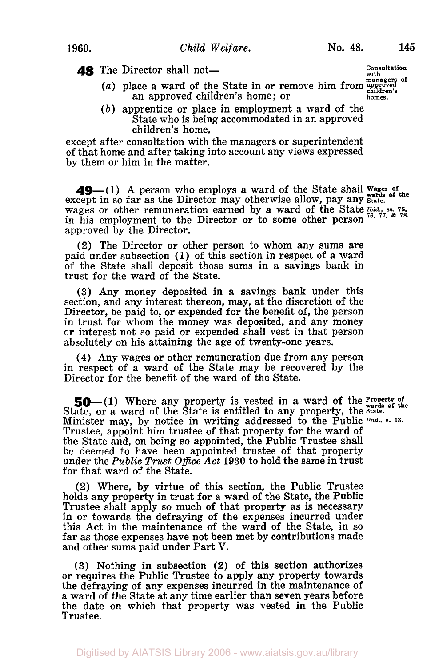**48** The Director shall not-

- (a) place a ward of the State in or remove him from approved children's home; or children's<br>homes.
- *(b)* apprentice or place in employment a ward **of** the State who is being accommodated in an approved children's home,

except after consultation with the managers or superintendent of that home and after taking into account any views expressed by them or him in the matter.

**49** (1) A person who employs a ward of the State shall **Wages** of except in so far as the Director may otherwise allow, pay any *State*. wages or other remuneration earned by a ward of the State Ibid., ss. 75, 75, 75 in his employment to the Director or to some other person approved by the Director.

(2) The Director or other person to whom any sums are paid under subsection **(1)** of this section in respect of a ward of the State shall deposit those sums in a savings bank in trust for the ward of the State.

**(3)** Any money deposited in a savings bank under this section, and any interest thereon, may, at the discretion of the Director, be paid to, or expended for the benefit of, the person in trust for whom the money was deposited, and any money or interest not so paid or expended shall vest in that person absolutely on his attaining the age of twenty-one years.

**(4)** Any wages or other remuneration due from any person in respect of a ward of the State may be recovered by the Director for the benefit of the ward of the State.

**50**-(1) Where any property is vested in a ward of the **Property** of State, or a ward of the State is entitled to any property, the State. Minister may, by notice in writing addressed to the Public *Ibid.,* s. **13.**  Trustee, appoint him trustee of that property for the ward of the State and, on being so appointed, the Public Trustee shall be deemed to have been appointed trustee **of** that property under the *Public Trust Office Act* **1930** to hold the same in trust for that ward **of** the State.

(2) Where, by virtue of this section, the Public Trustee holds any property in trust for a ward of the State, the Public Trustee shall apply so much **of** that property as is necessary in or towards the defraying of the expenses incurred under this Act in the maintenance of the ward of the State, in so far as those expenses have not been met by contributions made and other sums paid under Part **V.** 

**(3)** Nothing in subsection **(2) of** this section authorizes or requires the Public Trustee to apply any property towards the defraying **of** any expenses incurred in the maintenance **of**  a ward of the State at any time earlier than seven years before the date on which that property was vested in the Public Trustee.

**Consultation with**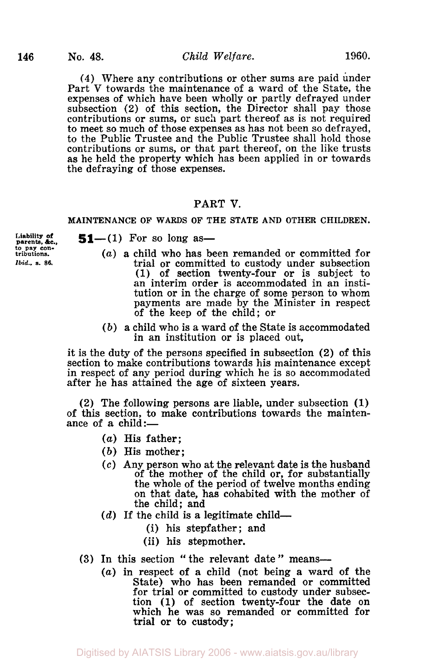**(4)** Where any contributions or other sums are paid under Part **V** towards the maintenance of a ward of the State, the expenses of which have been wholly or partly defrayed under subsection **(2)** of this section, the Director shall pay those contributions or sums, or such part thereof as is not required to meet so much of those expenses as has not been so defrayed, to the Public Trustee and the Public Trustee shall hold those contributions or sums, or that part thereof, on the like trusts as he held the property which has been applied in or towards the defraying of those expenses.

# PART V.

## **MAINTENANCE OF WARDS OF THE STATE AND OTHER CHILDREN.**

**parents, &c., to pay con- tributions.**  *Ibid., s.* **86.** 

 $51- (1)$  For so long as-

- *(a)* a child who has been remanded or committed for trial or committed to custody under subsection (1) of section twenty-four or is subject to an interim order is accommodated in an institution or in the charge of some person to whom payments are made by the Minister in respect of the keep of the child; or
- *(b)* a child who is a ward of the State is accommodated in an institution or is placed out,

it is the duty of the persons specified in subsection (2) **of** this section to make contributions towards his maintenance except in respect of any period during which he is so accommodated after he has attained the age of sixteen years.

(2) The following persons are liable, under subsection (1) of this section, to make contributions towards the maintenance of a child:-

- (a) His father:
- *(b)* His mother;
- *(c)* Any person who at the relevant date is the husband of the mother of the child or, for substantially the whole of the period of twelve months ending on that date, has cohabited with the mother of the child; and
- $(d)$  If the child is a legitimate child-
	- (i) his stepfather; and
	- (ii) his stepmother.
- (3) In this section " the relevant date" means-
	- *(a)* in respect of a child (not being a ward **of** the State) who has been remanded or committed for trial or committed to custody under subsection (1) **of** section twenty-four the date on which he was *so* remanded or committed for trial or to custody;